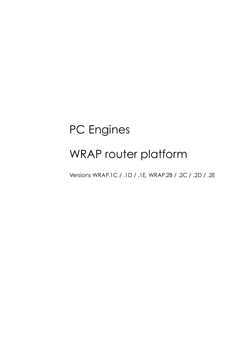# PC Engines

# WRAP router platform

Versions WRAP.1C / .1D / .1E, WRAP.2B / .2C / .2D / .2E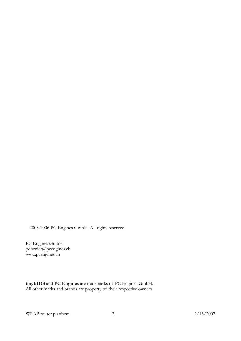2003-2006 PC Engines GmbH. All rights reserved.

PC Engines GmbH pdornier@pcengines.ch www.pcengines.ch

tinyBIOS and PC Engines are trademarks of PC Engines GmbH. All other marks and brands are property of their respective owners.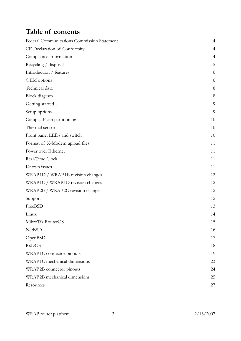# Table of contents

| Federal Communications Commission Statement | $\overline{4}$ |
|---------------------------------------------|----------------|
| CE Declaration of Conformity                | $\overline{4}$ |
| Compliance information                      | $\overline{4}$ |
| Recycling / disposal                        | 5              |
| Introduction / features                     | 6              |
| OEM options                                 | 6              |
| Technical data                              | 8              |
| Block diagram                               | 8              |
| Getting started                             | 9              |
| Setup options                               | 9              |
| CompactFlash partitioning                   | 10             |
| Thermal sensor                              | 10             |
| Front panel LEDs and switch                 | 10             |
| Format of X-Modem upload files              | 11             |
| Power over Ethernet                         | 11             |
| Real-Time Clock                             | 11             |
| Known issues                                | 11             |
| WRAP.1D / WRAP.1E revision changes          | 12             |
| WRAP.1C / WRAP.1D revision changes          | 12             |
| WRAP.2B / WRAP.2C revision changes          | 12             |
| Support                                     | 12             |
| FreeBSD                                     | 13             |
| Linux                                       | 14             |
| MikroTik RouterOS                           | 15             |
| <b>NetBSD</b>                               | 16             |
| OpenBSD                                     | 17             |
| <b>RxDOS</b>                                | 18             |
| WRAP.1C connector pinouts                   | 19             |
| WRAP.1C mechanical dimensions               | 23             |
| WRAP.2B connector pinouts                   | 24             |
| WRAP.2B mechanical dimensions               | 25             |
| Resources                                   | 27             |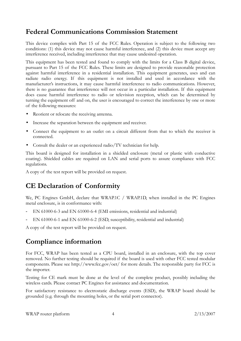### Federal Communications Commission Statement

This device complies with Part 15 of the FCC Rules. Operation is subject to the following two conditions: (1) this device may not cause harmful interference, and (2) this device must accept any interference received, including interference that may cause undesired operation.

This equipment has been tested and found to comply with the limits for a Class B digital device, pursuant to Part 15 of the FCC Rules. These limits are designed to provide reasonable protection against harmful interference in a residential installation. This equipment generates, uses and can radiate radio energy. If this equipment is not installed and used in accordance with the manufacturer's instructions, it may cause harmful interference to radio communications. However, there is no guarantee that interference will not occur in a particular installation. If this equipment does cause harmful interference to radio or television reception, which can be determined by turning the equipment off and on, the user is encouraged to correct the interference by one or more of the following measures:

- Reorient or relocate the receiving antenna.
- Increase the separation between the equipment and receiver.
- Connect the equipment to an outlet on a circuit different from that to which the receiver is connected.
- Consult the dealer or an experienced radio/TV technician for help.

This board is designed for installation in a shielded enclosure (metal or plastic with conductive coating). Shielded cables are required on LAN and serial ports to assure compliance with FCC regulations.

A copy of the test report will be provided on request.

### CE Declaration of Conformity

We, PC Engines GmbH, declare that WRAP.1C / WRAP.1D, when installed in the PC Engines metal enclosure, is in conformance with:

- EN 61000-6-3 and EN 61000-6-4 (EMI emissions, residential and industrial)
- EN 61000-6-1 and EN 61000-6-2 (ESD, susceptibility, residential and industrial)

A copy of the test report will be provided on request.

### Compliance information

For FCC, WRAP has been tested as a CPU board, installed in an enclosure, with the top cover removed. No further testing should be required if the board is used with other FCC tested modular components. Please see http://www.fcc.gov/oet/ for more details. The responsible party for FCC is the importer.

Testing for CE mark must be done at the level of the complete product, possibly including the wireless cards. Please contact PC Engines for assistance and documentation.

For satisfactory resistance to electrostatic discharge events (ESD), the WRAP board should be grounded (e.g. through the mounting holes, or the serial port connector).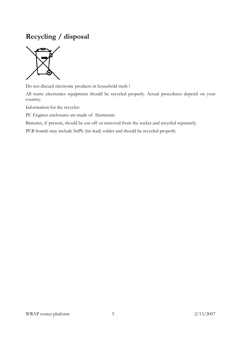# Recycling / disposal



Do not discard electronic products in household trash !

All waste electronics equipment should be recycled properly. Actual procedures depend on your country.

Information for the recycler:

PC Engines enclosures are made of Aluminum.

Batteries, if present, should be cut off or removed from the socket and recycled separately.

PCB boards may include SnPb (tin-lead) solder and should be recycled properly.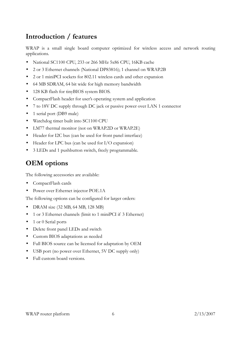# Introduction / features

WRAP is a small single board computer optimized for wireless access and network routing applications.

- National SC1100 CPU, 233 or 266 MHz 5x86 CPU, 16KB cache
- 2 or 3 Ethernet channels (National DP83816); 1 channel on WRAP.2B
- 2 or 1 miniPCI sockets for 802.11 wireless cards and other expansion
- 64 MB SDRAM, 64 bit wide for high memory bandwidth
- 128 KB flash for tinyBIOS system BIOS.
- CompactFlash header for user's operating system and application
- 7 to 18V DC supply through DC jack or passive power over LAN 1 connector
- 1 serial port (DB9 male)
- Watchdog timer built into SC1100 CPU
- LM77 thermal monitor (not on WRAP.2D or WRAP.2E)
- Header for I2C bus (can be used for front panel interface)
- Header for LPC bus (can be used for I/O expansion)
- 3 LEDs and 1 pushbutton switch, freely programmable.

# OEM options

The following accessories are available:

- CompactFlash cards
- Power over Ethernet injector POE.1A

The following options can be configured for larger orders:

- DRAM size (32 MB, 64 MB, 128 MB)
- 1 or 3 Ethernet channels (limit to 1 miniPCI if 3 Ethernet)
- 1 or 0 Serial ports
- Delete front panel LEDs and switch
- Custom BIOS adaptations as needed
- Full BIOS source can be licensed for adaptation by OEM
- USB port (no power over Ethernet, 5V DC supply only)
- Full custom board versions.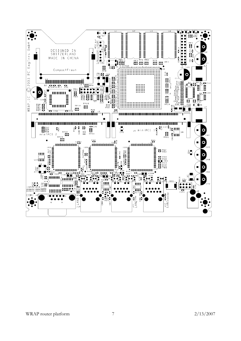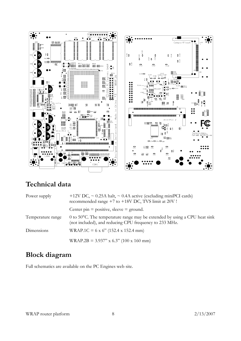

# Technical data

| Power supply      | +12V DC, $\sim$ 0.25A halt, $\sim$ 0.4A active (excluding miniPCI cards)<br>recommended range +7 to +18V DC, TVS limit at 20V !               |
|-------------------|-----------------------------------------------------------------------------------------------------------------------------------------------|
|                   | Center $pin = positive$ , sleeve = ground.                                                                                                    |
| Temperature range | 0 to $50^{\circ}$ C. The temperature range may be extended by using a CPU heat sink<br>(not included), and reducing CPU frequency to 233 MHz. |
| Dimensions        | WRAP.1C = $6 \times 6$ " (152.4 x 152.4 mm)                                                                                                   |
|                   | WRAP.2B = 3.937" x 6.3" (100 x 160 mm)                                                                                                        |

### Block diagram

Full schematics are available on the PC Engines web site.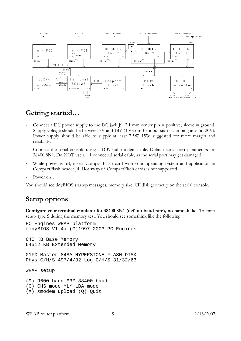

### Getting started…

- Connect a DC power supply to the DC jack J9. 2.1 mm center  $pin = positive$ , sleeve  $=$  ground. Supply voltage should be between 7V and 18V (TVS on the input starts clamping around 20V). Power supply should be able to supply at least 7.5W, 15W suggested for more margin and reliability.
- Connect the serial console using a DB9 null modem cable. Default serial port parameters are 38400 8N1. Do NOT use a 1:1 connected serial cable, as the serial port may get damaged.
- While power is off, insert CompactFlash card with your operating system and application in CompactFlash header J4. Hot swap of CompactFlash cards is not supported !
- Power on...

You should see tinyBIOS startup messages, memory size, CF disk geometry on the serial console.

### Setup options

Configure your terminal emulator for 38400 8N1 (default baud rate), no handshake. To enter setup, type S during the memory test. You should see somethink like the following:

PC Engines WRAP platform tinyBIOS V1.4a (C)1997-2003 PC Engines

```
640 KB Base Memory
64512 KB Extended Memory
```
01F0 Master 848A HYPERSTONE FLASH DISK Phys C/H/S 497/4/32 Log C/H/S 31/32/63

WRAP setup

(9) 9600 baud \*3\* 38400 baud

- (C) CHS mode \*L\* LBA mode
- (X) Xmodem upload (Q) Quit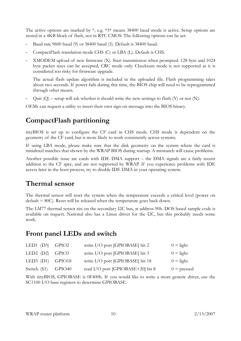The active options are marked by  $*$ , e.g.  $*3*$  means 38400 baud mode is active. Setup options are stored in a 4KB block of flash, not in RTC CMOS. The following options can be set:

- Baud rate 9600 baud (9) or 38400 baud (3). Default is 38400 baud.
- CompactFlash translation mode CHS (C) or LBA (L). Default is CHS.
- XMODEM upload of new firmware (X). Start transmission when prompted. 128 byte and 1024 byte packet sizes can be accepted, CRC mode only. Checksum mode is not supported as it is considered too risky for firmware upgrade.

The actual flash update algorithm is included in the uploaded file. Flash programming takes about two seconds. If power fails during this time, the BIOS chip will need to be reprogrammed through other means.

Quit  $(Q)$  – setup will ask whether it should write the new settings to flash  $(Y)$  or not  $(N)$ .

OEMs can request a utility to insert their own sign-on message into the BIOS binary.

### CompactFlash partitioning

tinyBIOS is set up to configure the CF card in CHS mode. CHS mode is dependent on the geometry of the CF card, but is more likely to work consistently across systems.

If using LBA mode, please make sure that the disk geometry on the system where the card is initialized matches that shown by the WRAP BIOS during startup. A mismatch will cause problems.

Another possible issue are cards with IDE DMA support – the DMA signals are a fairly recent addition to the CF spec, and are not supported by WRAP. If you experience problems with IDE access later in the boot process, try to disable IDE DMA in your operating system.

### Thermal sensor

The thermal sensor will reset the system when the temperature exceeds a critical level (power on  $\text{default} = 80\text{C}$ . Reset will be released when the temperature goes back down.

The LM77 thermal sensor sits on the secondary I2C bus, at address 90h. DOS based sample code is available on request. National also has a Linux driver for the I2C, but this probably needs some work.

### Front panel LEDs and switch

| LED1 $(D3)$ GPIO2  | write $I/O$ port [GPIOBASE] bit 2 | $0 =$ light   |
|--------------------|-----------------------------------|---------------|
| LED2 $(D2)$ GPIO3  | write I/O port [GPIOBASE] bit 3   | $0 =$ light   |
| LED3 $(D1)$ GPIO18 | write I/O port [GPIOBASE] bit 18  | $0 =$ light   |
| Switch (S1) GPIO40 | read I/O port [GPIOBASE+20] bit 8 | $0 =$ pressed |

With tinyBIOS, GPIOBASE is 0F400h. If you would like to write a more generic driver, use the SC1100 I/O base registers to determine GPIOBASE.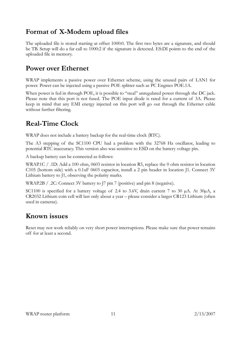## Format of X-Modem upload files

The uploaded file is stored starting at offset 1000:0. The first two bytes are a signature, and should be TB. Setup will do a far call to 1000:2 if the signature is detected. ES:DI points to the end of the uploaded file in memory.

### Power over Ethernet

WRAP implements a passive power over Ethernet scheme, using the unused pairs of LAN1 for power. Power can be injected using a passive POE splitter such as PC Engines POE.1A.

When power is fed in through POE, it is possible to "steal" unregulated power through the DC jack. Please note that this port is not fused. The POE input diode is rated for a current of 3A. Please keep in mind that any EMI energy injected on this port will go out through the Ethernet cable without further filtering.

### Real-Time Clock

WRAP does not include a battery backup for the real-time clock (RTC).

The A3 stepping of the SC1100 CPU had a problem with the 32768 Hz oscillator, leading to potential RTC inaccuracy. This version also was sensitive to ESD on the battery voltage pin.

A backup battery can be connected as follows:

WRAP.1C / .1D: Add a 100 ohm, 0603 resistor in location R5, replace the 0 ohm resistor in location C105 (bottom side) with a 0.1uF 0603 capacitor, install a 2 pin header in location J1. Connect 3V Lithium battery to J1, observing the polarity marks.

WRAP.2B / .2C: Connect 3V battery to J7 pin 7 (positive) and pin 8 (negative).

SC1100 is specified for a battery voltage of 2.4 to 3.6V, drain current 7 to 30  $\mu$ A. At 30 $\mu$ A, a CR2032 Lithium coin cell will last only about a year – please consider a larger CR123 Lithium (often used in cameras).

### Known issues

Reset may not work reliably on very short power interruptions. Please make sure that power remains off for at least a second.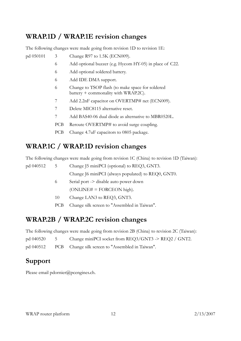# WRAP.1D / WRAP.1E revision changes

The following changes were made going from revision 1D to revision 1E:

| pd 050101 | 3          | Change R97 to 1.5K (ECN009).                                                             |
|-----------|------------|------------------------------------------------------------------------------------------|
|           | 6          | Add optional buzzer (e.g. Hycom HY-05) in place of C22.                                  |
|           | 6          | Add optional soldered battery.                                                           |
|           | 6          | Add IDE DMA support.                                                                     |
|           | 6          | Change to TSOP flash (to make space for soldered<br>battery + commonality with WRAP.2C). |
|           | 7          | Add 2.2nF capacitor on OVERTMP# net (ECN009).                                            |
|           | 7          | Delete MIC8115 alternative reset.                                                        |
|           | 7          | Add BAS40-06 dual diode as alternative to MBR0520L.                                      |
|           | <b>PCB</b> | Reroute OVERTMP# to avoid surge coupling.                                                |
|           | PCB        | Change 4.7uF capacitors to 0805 package.                                                 |
|           |            |                                                                                          |

# WRAP.1C / WRAP.1D revision changes

The following changes were made going from revision 1C (China) to revision 1D (Taiwan):

| pd 040512 | $5\overline{)}$ | Change J5 miniPCI (optional) to REQ3, GNT3.         |
|-----------|-----------------|-----------------------------------------------------|
|           |                 | Change J6 miniPCI (always populated) to REQ0, GNT0. |
|           | 6               | Serial port -> disable auto power down              |
|           |                 | $(ONLINE# = FORCEON high).$                         |
|           | 10              | Change LAN3 to REQ3, GNT3.                          |
|           | PCВ             | Change silk screen to "Assembled in Taiwan".        |

# WRAP.2B / WRAP.2C revision changes

The following changes were made going from revision 2B (China) to revision 2C (Taiwan):

| pd 040520 5 | Change miniPCI socket from $REQ3/GNT3 \rightarrow REQ2 / GNT2$ . |
|-------------|------------------------------------------------------------------|
| pd 040512   | PCB Change silk screen to "Assembled in Taiwan".                 |

# Support

Please email pdornier@pcengines.ch.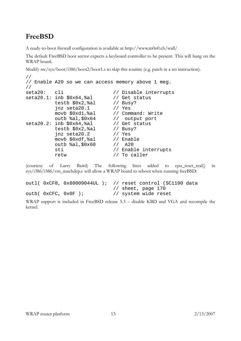# FreeBSD

A ready-to-boot firewall configuration is available at http://www.m0n0.ch/wall/

The default FreeBSD boot sector expects a keyboard controller to be present. This will hang on the WRAP board.

Modify src/sys/boot/i386/boot2/boot1.s to skip this routine (e.g. patch in a ret instruction).

```
//
// Enable A20 so we can access memory above 1 meg.
//
seta20: cli // Disable interrupts
seta20.1: inb $0x64,%al // Get status
       testb $0x2,%al // Busy?
        jnz seta20.1 // Yes
       movb $0xd1,%al // Command: Write
       outb %al,$0x64 // output port
seta20.2: inb $0x64,%al // Get status
       testb $0x2,%al // Busy?
       jnz seta20.2 // Yes
       movb $0xdf,%al // Enable
       outb %al,$0x60 // A20
        sti // Enable interrupts
       retw // To caller
```
(courtesy of Larry Baird) The following lines added to cpu\_reset\_real() in sys/i386/i386/vm\_machdep.c will allow a WRAP board to reboot when running freeBSD:

outl( 0xCF8, 0x80009044UL ); // reset control (SC1100 data // sheet, page 170 outb( 0xCFC, 0x0F ); // system wide reset WRAP support is included in FreeBSD release 5.3 – disable KBD and VGA and recompile the

kernel.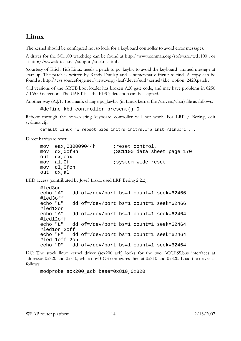## Linux

The kernel should be configured not to look for a keyboard controller to avoid error messages.

A driver for the SC1100 watchdog can be found at http://www.conman.org/software/wd1100 , or at http://www.sk-tech.net/support/soekris.html .

(courtesy of Erich Titl) Linux needs a patch to pc\_keyb.c to avoid the keyboard jammed message at start up. The patch is written by Randy Dunlap and is somewhat difficult to find. A copy can be found at http://cvs.sourceforge.net/viewcvs.py/leaf/devel/etitl/kernel/kbc\_option\_2420.patch .

Old versions of the GRUB boot loader has broken A20 gate code, and may have problems in 8250 / 16550 detection. The UART has the FIFO, detection can be skipped.

Another way (A.J.T. Toorman): change pc\_keyb.c (in Linux kernel file /drivers/char) file as follows:

```
#define kbd controller present() 0
```
Reboot through the non-existing keyboard controller will not work. For LRP / Bering, edit syslinux.cfg:

default linux rw reboot=bios initrd=initrd.lrp init=/linuxrc ...

Direct hardware reset:

|  | mov eax, 080009044h | ireset control,             |  |  |
|--|---------------------|-----------------------------|--|--|
|  | mov dx, Ocf8h       | ;SC1100 data sheet page 170 |  |  |
|  | out dx, eax         |                             |  |  |
|  | mov al.Of           | isystem wide reset          |  |  |
|  | mov dl, Ofch        |                             |  |  |
|  | out dx, al          |                             |  |  |

LED access (contributed by Josef Liška, used LRP Bering 2.2.2):

#led3on echo "A" | dd of=/dev/port bs=1 count=1 seek=62466 #led3off echo "L" | dd of=/dev/port bs=1 count=1 seek=62466 #led12on echo "A" | dd of=/dev/port bs=1 count=1 seek=62464 #led12off echo "L" | dd of=/dev/port bs=1 count=1 seek=62464 #led1on 2off echo "H" | dd of=/dev/port bs=1 count=1 seek=62464 #led 1off 2on echo "D" | dd of=/dev/port bs=1 count=1 seek=62464

I2C: The stock linux kernel driver (scx200\_acb) looks for the two ACCESS.bus interfaces at addresses 0x820 and 0x840, while tinyBIOS configures then at 0x810 and 0x820. Load the driver as follows:

modprobe scx200\_acb base=0x810,0x820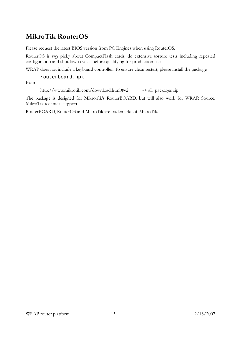### MikroTik RouterOS

Please request the latest BIOS version from PC Engines when using RouterOS.

RouterOS is very picky about CompactFlash cards, do extensive torture tests including repeated configuration and shutdown cycles before qualifying for production use.

WRAP does not include a keyboard controller. To ensure clean restart, please install the package

routerboard.npk

from

http://www.mikrotik.com/download.html#v2 -> all\_packages.zip

The package is designed for MikroTik's RouterBOARD, but will also work for WRAP. Source: MikroTik technical support.

RouterBOARD, RouterOS and MikroTik are trademarks of MikroTik.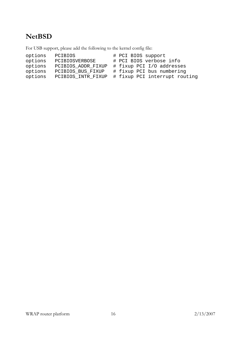# NetBSD

For USB support, please add the following to the kernel config file:

| options | PCIBIOS            | # PCI BIOS support                               |
|---------|--------------------|--------------------------------------------------|
| options | PCIBIOSVERBOSE     | # PCI BIOS verbose info                          |
| options | PCIBIOS_ADDR_FIXUP | # fixup PCI I/O addresses                        |
| options | PCIBIOS BUS FIXUP  | # fixup PCI bus numbering                        |
| options |                    | PCIBIOS_INTR_FIXUP # fixup PCI interrupt routing |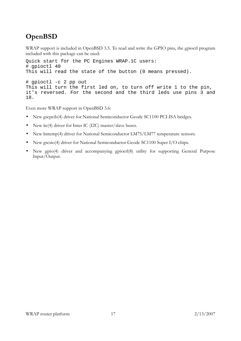# OpenBSD

WRAP support is included in OpenBSD 3.5. To read and write the GPIO pins, the gpioctl program included with this package can be used:

```
Quick start for the PC Engines WRAP.1C users:
# gpioctl 40
This will read the state of the button (0 means pressed).
# gpioctl -c 2 pp out
This will turn the first led on, to turn off write 1 to the pin,
it's reversed. For the second and the third leds use pins 3 and
18.
```
Even more WRAP support in OpenBSD 3.6:

- New gscpcib(4) driver for National Semiconductor Geode SC1100 PCI-ISA bridges.
- New iic(4) driver for Inter IC (I2C) master/slave buses.
- New Imtemp(4) driver for National Semiconductor LM75/LM77 temperature sensors.
- New gscsio(4) driver for National Semiconductor Geode SC1100 Super I/O chips.
- New gpio(4) driver and accompanying gpioctl(8) utility for supporting General Purpose Input/Output.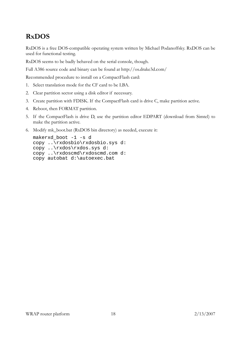# RxDOS

RxDOS is a free DOS-compatible operating system written by Michael Podanoffsky. RxDOS can be used for functional testing.

RxDOS seems to be badly behaved on the serial console, though.

Full A386 source code and binary can be found at http://os.drake3d.com/

Recommended procedure to install on a CompactFlash card:

- 1. Select translation mode for the CF card to be LBA.
- 2. Clear partition sector using a disk editor if necessary.
- 3. Create partition with FDISK. If the CompactFlash card is drive C, make partition active.
- 4. Reboot, then FORMAT partition.
- 5. If the CompactFlash is drive D, use the partition editor EDPART (download from Simtel) to make the partition active.
- 6. Modify mk\_boot.bat (RxDOS bin directory) as needed, execute it:

makerxd\_boot -1 -s d copy ..\rxdosbio\rxdosbio.sys d: copy ..\rxdos\rxdos.sys d: copy ..\rxdoscmd\rxdoscmd.com d: copy autobat d:\autoexec.bat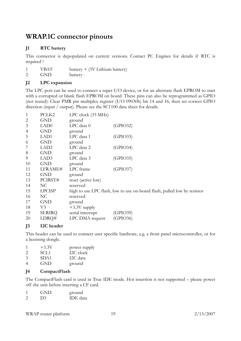### WRAP.1C connector pinouts

#### J1 RTC battery

This connector is depopulated on current versions. Contact PC Engines for details if RTC is required !

- 1 VBAT battery + (3V Lithium battery)<br>2 GND battery -
- GND battery -

#### J2 LPC expansion

The LPC port can be used to connect a super I/O device, or for an alternate flash EPROM to start with a corrupted or blank flash EPROM on board. These pins can also be reprogrammed as GPIO (not tested): Clear PMR pin multiplex register (I/O 09030h) bit 14 and 16, then set correct GPIO direction (input / output). Please see the SC1100 data sheet for details.

| 1              | PCLK2            | $LPC$ clock $(33 \text{ MHz})$ |                                                                          |
|----------------|------------------|--------------------------------|--------------------------------------------------------------------------|
| $\overline{2}$ | GND              | ground                         |                                                                          |
| 3              | LAD <sub>0</sub> | LPC data 0                     | (GPIO32)                                                                 |
| 4              | <b>GND</b>       | ground                         |                                                                          |
| 5              | LAD1             | LPC data 1                     | (GPIO33)                                                                 |
| 6              | <b>GND</b>       | ground                         |                                                                          |
|                | LAD <sub>2</sub> | LPC data 2                     | (GPIO34)                                                                 |
| 8              | <b>GND</b>       | ground                         |                                                                          |
| 9              | LAD3             | LPC data 3                     | (GPIO35)                                                                 |
| 10             | <b>GND</b>       | ground                         |                                                                          |
| 11             | LFRAME#          | LPC frame                      | (GPIO37)                                                                 |
| 12             | GND              | ground                         |                                                                          |
| 13             | PCIRST#          | reset (active low)             |                                                                          |
| 14             | NC               | reserved                       |                                                                          |
| 15             | <b>LPCISP</b>    |                                | high to use LPC flash, low to use on-board flash, pulled low by resistor |
| 16             | NC               | reserved                       |                                                                          |
| 17             | <b>GND</b>       | ground                         |                                                                          |
| 18             | V3               | $+3.3V$ supply                 |                                                                          |
| 19             | <b>SERIRQ</b>    | serial interrupt               | (GPIO39)                                                                 |
| 20             | LDRQ#            | LPC DMA request                | (GPIO36)                                                                 |

#### J3 I2C header

This header can be used to connect user specific hardware, e.g. a front panel microcontroller, or for a licensing dongle.

|                             | $+3.3V$    | power supply           |
|-----------------------------|------------|------------------------|
| $\mathcal{D}_{\mathcal{L}}$ | SCL1       | I <sub>2</sub> C clock |
| 3                           | SDA1       | I2C data               |
|                             | <b>GND</b> | ground                 |

#### J4 CompactFlash

The CompactFlash card is used in True IDE mode. Hot insertion is not supported – please power off the unit before inserting a CF card.

- 1 GND ground
- 2 D3 IDE data

WRAP router platform 19 2/13/2007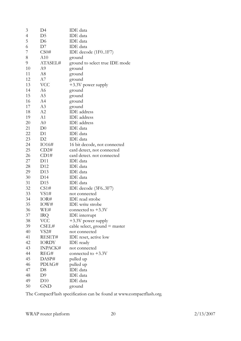| 3              | D4              | IDE data                        |
|----------------|-----------------|---------------------------------|
| $\overline{4}$ | D <sub>5</sub>  | IDE data                        |
| 5              | D <sub>6</sub>  | IDE data                        |
| 6              | D7              | IDE data                        |
| 7              | CS0#            | IDE decode (1F01F7)             |
| 8              | A10             | ground                          |
| 9              | ATASEL#         | ground to select true IDE mode  |
| 10             | A <sub>9</sub>  | ground                          |
| 11             | A8              | ground                          |
| 12             | A7              | ground                          |
| 13             | <b>VCC</b>      | $+3.3V$ power supply            |
| 14             | A6              | ground                          |
| 15             | A <sub>5</sub>  | ground                          |
| 16             | A4              | ground                          |
| 17             | A <sub>3</sub>  | ground                          |
| 18             | A2              | <b>IDE</b> address              |
| 19             | A1              | <b>IDE</b> address              |
| 20             | A0              | <b>IDE</b> address              |
| 21             | D <sub>0</sub>  | IDE data                        |
| 22             | D <sub>1</sub>  | IDE data                        |
| 23             | D2              | IDE data                        |
| 24             | IO16#           | 16 bit decode, not connected    |
| 25             | CD2#            | card detect, not connected      |
| 26             | CD1#            | card detect. not connected      |
| 27             | D11             | IDE data                        |
| 28             | D <sub>12</sub> | IDE data                        |
| 29             | D13             | IDE data                        |
| 30             | D14             | IDE data                        |
| 31             | D <sub>15</sub> | <b>IDE</b> data                 |
| 32             | CS1#            | IDE decode (3F63F7)             |
| 33             | VS1#            | not connected                   |
| 34             | IOR#            | IDE read strobe                 |
| 35             | IOW#            | IDE write strobe                |
| 36             | WE#             | connected to $+3.3V$            |
| 37             | IRQ             | IDE interrupt                   |
| 38             | VCC             | +3.3V power supply              |
| 39             | CSEL#           | cable select, ground $=$ master |
| 40             | VS2#            | not connected                   |
| 41             | RESET#          | IDE reset, active low           |
| 42             | <b>IORDY</b>    | <b>IDE</b> ready                |
| 43             | INPACK#         | not connected                   |
| 44             | REG#            | connected to $+3.3V$            |
| 45             | DASP#           | pulled up                       |
| 46             | PDIAG#          | pulled up                       |
| 47             | D <sub>8</sub>  | IDE data                        |
| 48             | D <sub>9</sub>  | IDE data                        |
| 49             | D10             | <b>IDE</b> data                 |
| 50             | GND             | ground                          |
|                |                 |                                 |

The CompactFlash specification can be found at www.compactflash.org.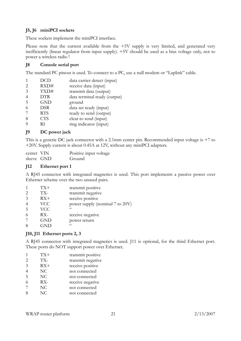#### J5, J6 miniPCI sockets

These sockets implement the miniPCI interface.

Please note that the current available from the  $+5V$  supply is very limited, and generated very inefficiently (linear regulator from input supply). +5V should be used as a bias voltage only, not to power a wireless radio !

#### J8 Console serial port

The standard PC pinout is used. To connect to a PC, use a null modem or "Laplink" cable.

- 1 DCD data carrier detect (input)
- 2 RXD# receive data (input)
- 3 TXD# transmit data (output)
- 4 DTR data terminal ready (output)
- 5 GND ground
- 6 DSR data set ready (input)<br>7 RTS ready to send (output
- RTS ready to send (output)
- 8 CTS clear to send (input)
- 9 RI ring indicator (input)

#### J9 DC power jack

This is a generic DC jack connector with a 2.1mm center pin. Recommended input voltage is +7 to +20V. Supply current is about 0.45A at 12V, without any miniPCI adapters.

| center VIN | Positive input voltage |
|------------|------------------------|
| sleeve GND | Ground                 |

#### J12 Ethernet port 1

A RJ45 connector with integrated magnetics is used. This port implements a passive power over Ethernet scheme over the two unused pairs.

|                             | $TX+$      | transmit positive               |
|-----------------------------|------------|---------------------------------|
| $\mathcal{D}_{\mathcal{L}}$ | TX-        | transmit negative               |
| 3                           | $RX+$      | receive positive                |
| $\overline{4}$              | <b>VCC</b> | power supply (nominal 7 to 20V) |
| 5                           | <b>VCC</b> | $\epsilon$                      |
| 6                           | $RX-$      | receive negative                |
|                             | <b>GND</b> | power return                    |
| 8                           | GND        | $\epsilon$                      |
|                             |            |                                 |

#### J10, J11 Ethernet ports 2, 3

A RJ45 connector with integrated magnetics is used. J11 is optional, for the third Ethernet port. These ports do NOT support power over Ethernet.

| $TX+$ | transmit positive |
|-------|-------------------|
|       |                   |

- 2 TX- transmit negative
- 3 RX+ receive positive
- 4 NC not connected
- 5 NC not connected
- 6 RX- receive negative
- 7 NC not connected
- 8 NC not connected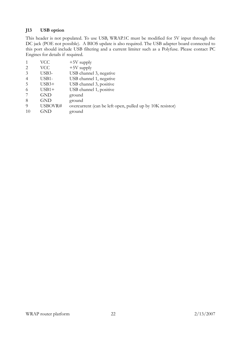#### J13 USB option

This header is not populated. To use USB, WRAP.1C must be modified for 5V input through the DC jack (POE not possible). A BIOS update is also required. The USB adapter board connected to this port should include USB filtering and a current limiter such as a Polyfuse. Please contact PC Engines for details if required.

| $\overline{1}$ | VCC     | $+5V$ supply                                              |
|----------------|---------|-----------------------------------------------------------|
| 2              | VCC     | $+5V$ supply                                              |
| 3              | USB3-   | USB channel 3, negative                                   |
| $\overline{4}$ | USB1-   | USB channel 1, negative                                   |
| 5              | $USB3+$ | USB channel 3, positive                                   |
| 6              | $USB1+$ | USB channel 1, positive                                   |
| 7              | GND     | ground                                                    |
| 8              | GND     | ground                                                    |
| 9              | USBOVR# | overcurrent (can be left open, pulled up by 10K resistor) |
| 10             | GND     | ground                                                    |
|                |         |                                                           |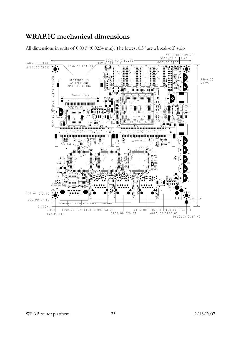### WRAP.1C mechanical dimensions

All dimensions in units of 0.001" (0.0254 mm). The lowest 0.3" are a break-off strip.

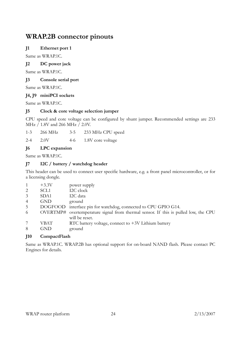### WRAP.2B connector pinouts

#### J1 Ethernet port 1

Same as WRAP.1C.

#### J2 DC power jack

Same as WRAP.1C.

#### J3 Console serial port

Same as WRAP.1C.

#### J4, J9 miniPCI sockets

Same as WRAP.1C.

#### J5 Clock & core voltage selection jumper

CPU speed and core voltage can be configured by shunt jumper. Recommended settings are 233 MHz / 1.8V and 266 MHz / 2.0V.

| $1 - 3$ | 266 MHz<br>$3 - 5$ | 233 MHz CPU speed |
|---------|--------------------|-------------------|
|---------|--------------------|-------------------|

2-4 2.0V 4-6 1.8V core voltage

#### J6 LPC expansion

Same as WRAP.1C.

#### J7 I2C / battery / watchdog header

This header can be used to connect user specific hardware, e.g. a front panel microcontroller, or for a licensing dongle.

|   | $+3.3V$          | power supply                                                                        |
|---|------------------|-------------------------------------------------------------------------------------|
| 2 | SCL <sub>1</sub> | I2C clock                                                                           |
| 3 | SDA1             | I2C data                                                                            |
| 4 | GND              | ground                                                                              |
| 5 | <b>DOGFOOD</b>   | interface pin for watchdog, connected to CPU GPIO G14.                              |
| 6 |                  | OVERTMP# overtemperature signal from thermal sensor. If this is pulled low, the CPU |
|   |                  | will be reset.                                                                      |
|   | VBAT             | RTC battery voltage, connect to $+3V$ Lithium battery                               |
| 8 | GND              | ground                                                                              |
|   |                  |                                                                                     |

#### J10 CompactFlash

Same as WRAP.1C. WRAP.2B has optional support for on-board NAND flash. Please contact PC Engines for details.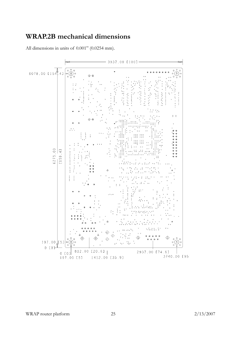# WRAP.2B mechanical dimensions

All dimensions in units of 0.001" (0.0254 mm).

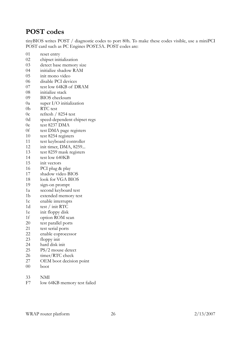# POST codes

tinyBIOS writes POST / diagnostic codes to port 80h. To make these codes visible, use a miniPCI POST card such as PC Engines POST.5A. POST codes are:

- 01 reset entry<br>02 chinset init
- chipset initialization
- 03 detect base memory size
- 04 initialize shadow RAM
- 05 init mono video
- 06 disable PCI devices
- 07 test low 64KB of DRAM
- 08 initialize stack
- 09 BIOS checksum
- 0a super I/O initialization
- 0b RTC test
- 0c refresh / 8254 test
- 0d speed-dependent chipset regs
- 0e test 8237 DMA
- 0f test DMA page registers
- 10 test 8254 registers
- 11 test keyboard controller
- 12 init timer, DMA, 8259...
- 13 test 8259 mask registers
- 14 test low 640KB
- 15 init vectors
- 16 PCI plug & play
- 17 shadow video BIOS
- 18 look for VGA BIOS
- 19 sign-on prompt
- 1a second keyboard test
- 1b extended memory test
- 1c enable interrupts
- 1d test / init RTC
- 1e init floppy disk
- 1f option ROM scan
- 20 test parallel ports
- 21 test serial ports<br>22 enable coproces
- enable coprocessor
- 23 floppy init
- 24 hard disk init
- 25 PS/2 mouse detect
- 26 timer/RTC check
- 27 OEM boot decision point
- 00 boot
- 33 NMI
- F7 low 64KB memory test failed